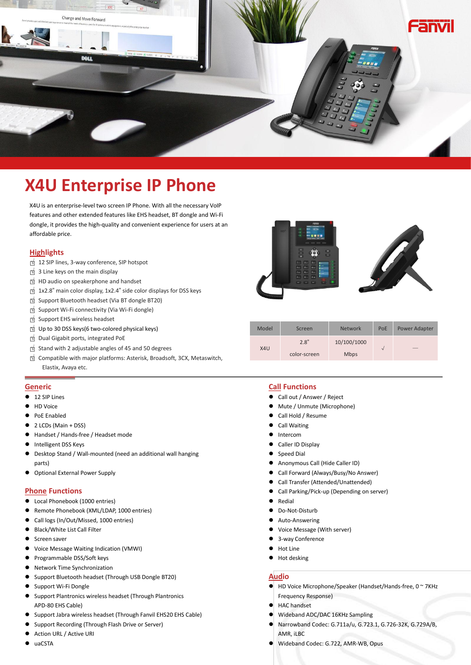

# **X4U Enterprise IP Phone**

X4U is an enterprise-level two screen IP Phone. With all the necessary VoIP features and other extended features like EHS headset, BT dongle and Wi-Fi dongle, it provides the high-quality and convenient experience for users at an affordable price.

## **Highlights**

- □<sup>√</sup> <sup>12</sup> SIP lines, 3-way conference, SIP hotspot
- □<sup>√</sup> <sup>3</sup> Line keys on the main display
- □<sup>√</sup> HD audio on speakerphone and handset
- □<sup>√</sup> 1x2.8" main color display, 1x2.4" side color displays for DSS keys □<sup>√</sup> Support Bluetooth headset (Via BT dongle BT20)
- 
- □<sup>√</sup> Support Wi-Fi connectivity (Via Wi-Fi dongle)
- □<sup>√</sup> Support EHS wireless headset
- □<sup>√</sup> Up to <sup>30</sup> DSS keys(6 two-colored physical keys)
- □<sup>√</sup> Dual Gigabit ports, integrated PoE
- □<sup>√</sup> Stand with <sup>2</sup> adjustable angles of <sup>45</sup> and <sup>50</sup> degrees
- □<sup>√</sup> Compatible with major platforms: Asterisk, Broadsoft, 3CX, Metaswitch,

#### **Generic**

- **12 SIP Lines**
- **O** HD Voice
- **•** PoE Enabled
- 2 LCDs (Main + DSS)
- Handset / Hands-free / Headset mode
- Intelligent DSS Keys
- $\bullet$  Desktop Stand / Wall-mounted (need an additional wall hanging parts)
- Optional External Power Supply

#### **Phone Functions**

- Local Phonebook (1000 entries)
- Remote Phonebook (XML/LDAP, 1000 entries)
- Call logs (In/Out/Missed, 1000 entries)
- Black/White List Call Filter
- Screen saver
- Voice Message Waiting Indication (VMWI)
- Programmable DSS/Soft keys
- Network Time Synchronization
- Support Bluetooth headset (Through USB Dongle BT20)
- Support Wi-Fi Dongle
- Support Plantronics wireless headset (Through Plantronics APD-80 EHS Cable)
- Support Jabra wireless headset (Through Fanvil EHS20 EHS Cable)
- Support Recording (Through Flash Drive or Server)
- Action URL / Active URI
- uaCSTA



| p to 30 DSS keys (6 two-colored physical keys)                        | Model | Screen       | Network     | PoE | Power Adapter            |
|-----------------------------------------------------------------------|-------|--------------|-------------|-----|--------------------------|
| ual Gigabit ports, integrated PoE                                     |       | 2.8"         | 10/100/1000 |     |                          |
| tand with 2 adjustable angles of 45 and 50 degrees                    | X4U   | color-screen | <b>Mbps</b> |     | $\qquad \qquad - \qquad$ |
| ompatible with major platforms: Asterisk, Broadsoft, 3CX, Metaswitch, |       |              |             |     |                          |
| Elastix, Avaya etc.                                                   |       |              |             |     |                          |

### **Call Functions**

- Call out / Answer / Reject
- Mute / Unmute (Microphone)
- Call Hold / Resume
- Call Waiting
- **•** Intercom
- Caller ID Display
- Speed Dial
- Anonymous Call (Hide Caller ID)
- Call Forward (Always/Busy/No Answer)
- Call Transfer (Attended/Unattended)
- Call Parking/Pick-up (Depending on server)
- Redial
- Do-Not-Disturb
- Auto-Answering
- Voice Message (With server)
- 3-way Conference
- Hot Line
- $\bullet$  Hot desking

## **Audio**

- HD Voice Microphone/Speaker (Handset/Hands-free, 0 ~ 7KHz Frequency Response)
- HAC handset
- Wideband ADC/DAC 16KHz Sampling
- Narrowband Codec: G.711a/u, G.723.1, G.726-32K, G.729A/B, AMR, iLBC
- Wideband Codec: G.722, AMR-WB, Opus